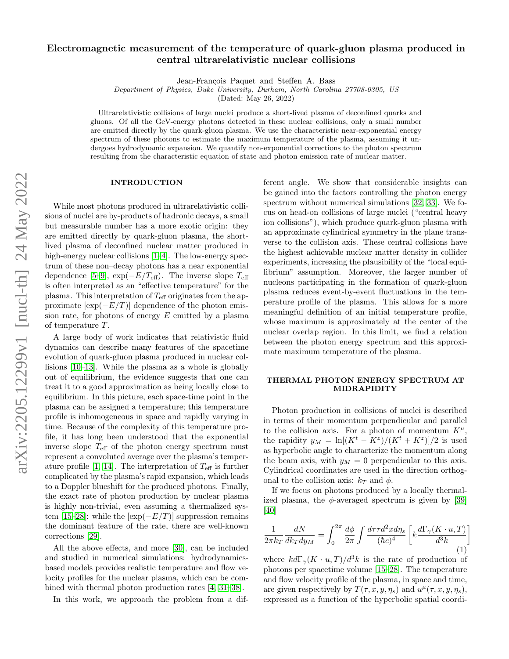# Electromagnetic measurement of the temperature of quark-gluon plasma produced in central ultrarelativistic nuclear collisions

Jean-François Paquet and Steffen A. Bass

Department of Physics, Duke University, Durham, North Carolina 27708-0305, US

(Dated: May 26, 2022)

Ultrarelativistic collisions of large nuclei produce a short-lived plasma of deconfined quarks and gluons. Of all the GeV-energy photons detected in these nuclear collisions, only a small number are emitted directly by the quark-gluon plasma. We use the characteristic near-exponential energy spectrum of these photons to estimate the maximum temperature of the plasma, assuming it undergoes hydrodynamic expansion. We quantify non-exponential corrections to the photon spectrum resulting from the characteristic equation of state and photon emission rate of nuclear matter.

#### INTRODUCTION

While most photons produced in ultrarelativistic collisions of nuclei are by-products of hadronic decays, a small but measurable number has a more exotic origin: they are emitted directly by quark-gluon plasma, the shortlived plasma of deconfined nuclear matter produced in high-energy nuclear collisions [\[1](#page-4-0)[–4\]](#page-4-1). The low-energy spectrum of these non–decay photons has a near exponential dependence [\[5–](#page-4-2)[9\]](#page-4-3),  $\exp(-E/T_{\text{eff}})$ . The inverse slope  $T_{\text{eff}}$ is often interpreted as an "effective temperature" for the plasma. This interpretation of  $T_{\text{eff}}$  originates from the approximate  $[\exp(-E/T)]$  dependence of the photon emission rate, for photons of energy  $E$  emitted by a plasma of temperature T.

A large body of work indicates that relativistic fluid dynamics can describe many features of the spacetime evolution of quark-gluon plasma produced in nuclear collisions [\[10](#page-4-4)[–13\]](#page-4-5). While the plasma as a whole is globally out of equilibrium, the evidence suggests that one can treat it to a good approximation as being locally close to equilibrium. In this picture, each space-time point in the plasma can be assigned a temperature; this temperature profile is inhomogeneous in space and rapidly varying in time. Because of the complexity of this temperature profile, it has long been understood that the exponential inverse slope  $T_{\text{eff}}$  of the photon energy spectrum must represent a convoluted average over the plasma's temper-ature profile [\[1,](#page-4-0) [14\]](#page-4-6). The interpretation of  $T_{\text{eff}}$  is further complicated by the plasma's rapid expansion, which leads to a Doppler blueshift for the produced photons. Finally, the exact rate of photon production by nuclear plasma is highly non-trivial, even assuming a thermalized sys-tem [\[15](#page-4-7)[–28\]](#page-5-0): while the  $[\exp(-E/T)]$  suppression remains the dominant feature of the rate, there are well-known corrections [\[29\]](#page-5-1).

All the above effects, and more [\[30\]](#page-5-2), can be included and studied in numerical simulations: hydrodynamicsbased models provides realistic temperature and flow velocity profiles for the nuclear plasma, which can be combined with thermal photon production rates [\[4,](#page-4-1) [31–](#page-5-3)[38\]](#page-5-4).

In this work, we approach the problem from a dif-

ferent angle. We show that considerable insights can be gained into the factors controlling the photon energy spectrum without numerical simulations [\[32,](#page-5-5) [33\]](#page-5-6). We focus on head-on collisions of large nuclei ("central heavy ion collisions"), which produce quark-gluon plasma with an approximate cylindrical symmetry in the plane transverse to the collision axis. These central collisions have the highest achievable nuclear matter density in collider experiments, increasing the plausibility of the "local equilibrium" assumption. Moreover, the larger number of nucleons participating in the formation of quark-gluon plasma reduces event-by-event fluctuations in the temperature profile of the plasma. This allows for a more meaningful definition of an initial temperature profile, whose maximum is approximately at the center of the nuclear overlap region. In this limit, we find a relation between the photon energy spectrum and this approximate maximum temperature of the plasma.

## THERMAL PHOTON ENERGY SPECTRUM AT MIDRAPIDITY

Photon production in collisions of nuclei is described in terms of their momentum perpendicular and parallel to the collision axis. For a photon of momentum  $K^{\mu}$ , the rapidity  $y_M = \ln[(K^t - K^z)/(K^t + K^z)]/2$  is used as hyperbolic angle to characterize the momentum along the beam axis, with  $y_M = 0$  perpendicular to this axis. Cylindrical coordinates are used in the direction orthogonal to the collision axis:  $k_T$  and  $\phi$ .

If we focus on photons produced by a locally thermalized plasma, the  $\phi$ -averaged spectrum is given by [\[39\]](#page-5-7) [\[40\]](#page-5-8)

$$
\frac{1}{2\pi k_T} \frac{dN}{dk_T dy_M} = \int_0^{2\pi} \frac{d\phi}{2\pi} \int \frac{d\tau \tau d^2x d\eta_s}{(\hbar c)^4} \left[ k \frac{d\Gamma_\gamma (K \cdot u, T)}{d^3 k} \right]
$$
(1)

where  $k d\Gamma_{\gamma}(K \cdot u, T)/d^3k$  is the rate of production of photons per spacetime volume [\[15–](#page-4-7)[28\]](#page-5-0). The temperature and flow velocity profile of the plasma, in space and time, are given respectively by  $T(\tau, x, y, \eta_s)$  and  $u^{\mu}(\tau, x, y, \eta_s)$ , expressed as a function of the hyperbolic spatial coordi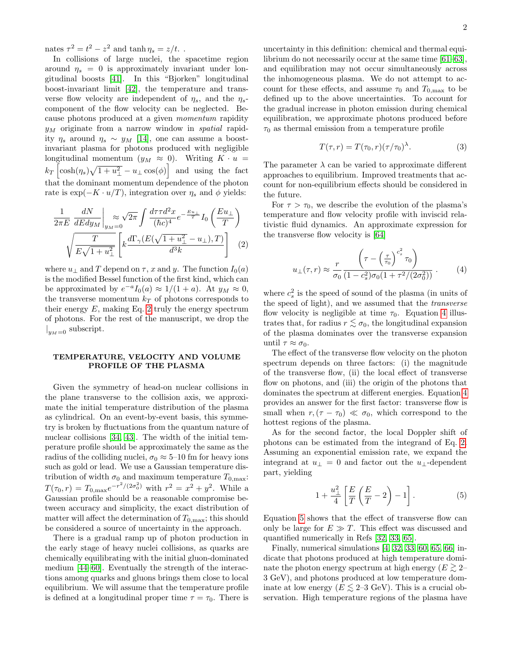nates  $\tau^2 = t^2 - z^2$  and  $\tanh \eta_s = z/t$ .

In collisions of large nuclei, the spacetime region around  $\eta_s = 0$  is approximately invariant under longitudinal boosts [\[41\]](#page-5-9). In this "Bjorken" longitudinal boost-invariant limit [\[42\]](#page-5-10), the temperature and transverse flow velocity are independent of  $\eta_s$ , and the  $\eta_s$ component of the flow velocity can be neglected. Because photons produced at a given momentum rapidity  $y_M$  originate from a narrow window in *spatial* rapidity  $\eta_s$  around  $\eta_s \sim y_M$  [\[14\]](#page-4-6), one can assume a boostinvariant plasma for photons produced with negligible longitudinal momentum  $(y_M \approx 0)$ . Writing  $K \cdot u =$  $k_T \left[ \cosh(\eta_s) \sqrt{1 + u_\perp^2} - u_\perp \cos(\phi) \right]$  and using the fact that the dominant momentum dependence of the photon rate is  $\exp(-K \cdot u/T)$ , integration over  $\eta_s$  and  $\phi$  yields:

$$
\frac{1}{2\pi E} \frac{dN}{dE dy_M} \bigg|_{y_M = 0} \approx \sqrt{2\pi} \int \frac{d\tau \tau d^2 x}{(\hbar c)^4} e^{-\frac{E u_{\perp}}{T}} I_0 \left(\frac{E u_{\perp}}{T}\right)
$$

$$
\sqrt{\frac{T}{E\sqrt{1+u_{\perp}^2}}} \left[ k \frac{d\Gamma_{\gamma}(E(\sqrt{1+u_{\perp}^2} - u_{\perp}), T)}{d^3 k} \right] \tag{2}
$$

where  $u_{\perp}$  and T depend on  $\tau$ , x and y. The function  $I_0(a)$ is the modified Bessel function of the first kind, which can be approximated by  $e^{-a}I_0(a) \approx 1/(1+a)$ . At  $y_M \approx 0$ , the transverse momentum  $k_T$  of photons corresponds to their energy  $E$ , making Eq. [2](#page-1-0) truly the energy spectrum of photons. For the rest of the manuscript, we drop the  $|y_{M}=0\>$  subscript.

### TEMPERATURE, VELOCITY AND VOLUME PROFILE OF THE PLASMA

Given the symmetry of head-on nuclear collisions in the plane transverse to the collision axis, we approximate the initial temperature distribution of the plasma as cylindrical. On an event-by-event basis, this symmetry is broken by fluctuations from the quantum nature of nuclear collisions [\[34,](#page-5-11) [43\]](#page-5-12). The width of the initial temperature profile should be approximately the same as the radius of the colliding nuclei,  $\sigma_0 \approx 5{\text -}10$  fm for heavy ions such as gold or lead. We use a Gaussian temperature distribution of width  $\sigma_0$  and maximum temperature  $T_{0,\text{max}}$ :  $T(\tau_0, r) = T_{0,\text{max}} e^{-r^2/(2\sigma_0^2)}$  with  $r^2 = x^2 + y^2$ . While a Gaussian profile should be a reasonable compromise between accuracy and simplicity, the exact distribution of matter will affect the determination of  $T_{0,\text{max}}$ ; this should be considered a source of uncertainty in the approach.

There is a gradual ramp up of photon production in the early stage of heavy nuclei collisions, as quarks are chemically equilibrating with the initial gluon-dominated medium [\[44](#page-5-13)[–60\]](#page-5-14). Eventually the strength of the interactions among quarks and gluons brings them close to local equilibrium. We will assume that the temperature profile is defined at a longitudinal proper time  $\tau = \tau_0$ . There is

uncertainty in this definition: chemical and thermal equilibrium do not necessarily occur at the same time [\[61–](#page-5-15)[63\]](#page-5-16), and equilibration may not occur simultaneously across the inhomogeneous plasma. We do not attempt to account for these effects, and assume  $\tau_0$  and  $T_{0,\text{max}}$  to be defined up to the above uncertainties. To account for the gradual increase in photon emission during chemical equilibration, we approximate photons produced before  $\tau_0$  as thermal emission from a temperature profile

<span id="page-1-3"></span>
$$
T(\tau, r) = T(\tau_0, r)(\tau/\tau_0)^{\lambda}.
$$
 (3)

The parameter  $\lambda$  can be varied to approximate different approaches to equilibrium. Improved treatments that account for non-equilibrium effects should be considered in the future.

<span id="page-1-0"></span>For  $\tau > \tau_0$ , we describe the evolution of the plasma's temperature and flow velocity profile with inviscid relativistic fluid dynamics. An approximate expression for the transverse flow velocity is [\[64\]](#page-5-17)

<span id="page-1-1"></span>
$$
u_{\perp}(\tau,r) \approx \frac{r}{\sigma_0} \frac{\left(\tau - \left(\frac{\tau}{\tau_0}\right)^{c_s^2} \tau_0\right)}{(1 - c_s^2) \sigma_0 (1 + \tau^2 / (2\sigma_0^2))} . \tag{4}
$$

where  $c_s^2$  is the speed of sound of the plasma (in units of the speed of light), and we assumed that the transverse flow velocity is negligible at time  $\tau_0$ . Equation [4](#page-1-1) illustrates that, for radius  $r \lesssim \sigma_0$ , the longitudinal expansion of the plasma dominates over the transverse expansion until  $\tau \approx \sigma_0$ .

The effect of the transverse flow velocity on the photon spectrum depends on three factors: (i) the magnitude of the transverse flow, (ii) the local effect of transverse flow on photons, and (iii) the origin of the photons that dominates the spectrum at different energies. Equation [4](#page-1-1) provides an answer for the first factor: transverse flow is small when  $r,(\tau - \tau_0) \ll \sigma_0$ , which correspond to the hottest regions of the plasma.

As for the second factor, the local Doppler shift of photons can be estimated from the integrand of Eq. [2.](#page-1-0) Assuming an exponential emission rate, we expand the integrand at  $u_{\perp} = 0$  and factor out the  $u_{\perp}$ -dependent part, yielding

<span id="page-1-2"></span>
$$
1 + \frac{u_{\perp}^2}{4} \left[ \frac{E}{T} \left( \frac{E}{T} - 2 \right) - 1 \right]. \tag{5}
$$

Equation [5](#page-1-2) shows that the effect of transverse flow can only be large for  $E \gg T$ . This effect was discussed and quantified numerically in Refs [\[32,](#page-5-5) [33,](#page-5-6) [65\]](#page-5-18).

Finally, numerical simulations [\[4,](#page-4-1) [32,](#page-5-5) [33,](#page-5-6) [60,](#page-5-14) [65,](#page-5-18) [66\]](#page-5-19) indicate that photons produced at high temperature dominate the photon energy spectrum at high energy ( $E \gtrsim 2-$ 3 GeV), and photons produced at low temperature dominate at low energy ( $E \leq 2-3$  GeV). This is a crucial observation. High temperature regions of the plasma have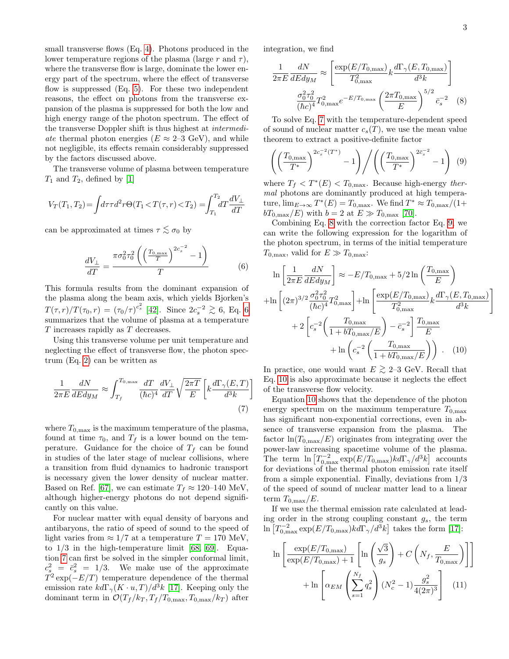<span id="page-2-4"></span>1

small transverse flows (Eq. [4\)](#page-1-1). Photons produced in the lower temperature regions of the plasma (large r and  $\tau$ ), where the transverse flow is large, dominate the lower energy part of the spectrum, where the effect of transverse flow is suppressed  $(Eq. 5)$  $(Eq. 5)$ . For these two independent reasons, the effect on photons from the transverse expansion of the plasma is suppressed for both the low and high energy range of the photon spectrum. The effect of the transverse Doppler shift is thus highest at intermediate thermal photon energies ( $E \approx 2{\text -}3$  GeV), and while not negligible, its effects remain considerably suppressed by the factors discussed above.

The transverse volume of plasma between temperature  $T_1$  and  $T_2$ , defined by [\[1\]](#page-4-0)

$$
V_T(T_1, T_2) = \int d\tau \tau d^2 r \Theta(T_1 < T(\tau, r) < T_2) = \int_{T_1}^{T_2} dT \frac{dV_\perp}{dT}
$$

can be approximated at times  $\tau \lesssim \sigma_0$  by

<span id="page-2-0"></span>
$$
\frac{dV_{\perp}}{dT} = \frac{\pi \sigma_0^2 \tau_0^2 \left( \left( \frac{T_{0,\text{max}}}{T} \right)^{2c_s^{-2}} - 1 \right)}{T} \tag{6}
$$

This formula results from the dominant expansion of the plasma along the beam axis, which yields Bjorken's  $T(\tau, r)/T(\tau_0, r) = (\tau_0/\tau)^{c_s^2}$  [\[42\]](#page-5-10). Since  $2c_s^{-2} \gtrsim 6$  $2c_s^{-2} \gtrsim 6$ , Eq. 6 summarizes that the volume of plasma at a temperature T increases rapidly as T decreases.

Using this transverse volume per unit temperature and neglecting the effect of transverse flow, the photon spectrum (Eq. [2\)](#page-1-0) can be written as

$$
\frac{1}{2\pi E} \frac{dN}{dE dy_M} \approx \int_{T_f}^{T_{0,\text{max}}} \frac{dT}{(\hbar c)^4} \frac{dV_{\perp}}{dT} \sqrt{\frac{2\pi T}{E}} \left[ k \frac{d\Gamma_{\gamma}(E,T)}{d^3 k} \right]
$$
\n(7)

where  $T_{0,\text{max}}$  is the maximum temperature of the plasma, found at time  $\tau_0$ , and  $T_f$  is a lower bound on the temperature. Guidance for the choice of  $T_f$  can be found in studies of the later stage of nuclear collisions, where a transition from fluid dynamics to hadronic transport is necessary given the lower density of nuclear matter. Based on Ref. [\[67\]](#page-5-20), we can estimate  $T_f \approx 120{\text -}140 \text{ MeV}$ , although higher-energy photons do not depend significantly on this value.

For nuclear matter with equal density of baryons and antibaryons, the ratio of speed of sound to the speed of light varies from  $\approx 1/7$  at a temperature  $T = 170$  MeV, to  $1/3$  in the high-temperature limit [\[68,](#page-5-21) [69\]](#page-5-22). Equation [7](#page-2-1) can first be solved in the simpler conformal limit,  $c_s^2 = \bar{c}_s^2 = 1/3$ . We make use of the approximate  $T^2 \exp(-E/T)$  temperature dependence of the thermal emission rate  $k d\Gamma_{\gamma}(K \cdot u, T)/d^3k$  [\[17\]](#page-4-8). Keeping only the dominant term in  $\mathcal{O}(T_f/k_T, T_f/T_{0,\text{max}}, T_{0,\text{max}}/k_T)$  after

integration, we find

<span id="page-2-2"></span>
$$
\frac{1}{2\pi E} \frac{dN}{dE dy_M} \approx \left[ \frac{\exp(E/T_{0,\text{max}})}{T_{0,\text{max}}^2} k \frac{d\Gamma_\gamma(E, T_{0,\text{max}})}{d^3 k} \right]
$$

$$
\frac{\sigma_0^2 \tau_0^2}{(\hbar c)^4} T_{0,\text{max}}^2 e^{-E/T_{0,\text{max}}} \left( \frac{2\pi T_{0,\text{max}}}{E} \right)^{5/2} \overline{c_s}^{-2} \quad (8)
$$

To solve Eq. [7](#page-2-1) with the temperature-dependent speed of sound of nuclear matter  $c_s(T)$ , we use the mean value theorem to extract a positive-definite factor

<span id="page-2-3"></span>
$$
\left( \left( \frac{T_{0,\max}}{T^*} \right)^{2c_s^{-2}(T^*)} - 1 \right) \Bigg/ \left( \left( \frac{T_{0,\max}}{T^*} \right)^{2\bar{c}_s^{-2}} - 1 \right) (9)
$$

where  $T_f < T^*(E) < T_{0,\text{max}}$ . Because high-energy thermal photons are dominantly produced at high temperature,  $\lim_{E \to \infty} T^*(E) = T_{0,\text{max}}$ . We find  $T^* \approx T_{0,\text{max}}/(1+\epsilon)$  $bT_{0,\text{max}}/E$ ) with  $b = 2$  at  $E \gg T_{0,\text{max}}$  [\[70\]](#page-5-23).

Combining Eq. [8](#page-2-2) with the correction factor Eq. [9,](#page-2-3) we can write the following expression for the logarithm of the photon spectrum, in terms of the initial temperature  $T_{0,\text{max}}$ , valid for  $E \gg T_{0,\text{max}}$ :

$$
\ln\left[\frac{1}{2\pi E}\frac{dN}{dEdy_M}\right] \approx -E/T_{0,\text{max}} + 5/2\ln\left(\frac{T_{0,\text{max}}}{E}\right)
$$

$$
+\ln\left[(2\pi)^{3/2}\frac{\sigma_0^2 \tau_0^2}{(\hbar c)^4}T_{0,\text{max}}^2\right] + \ln\left[\frac{\exp(E/T_{0,\text{max}})}{T_{0,\text{max}}^2}k\frac{d\Gamma_\gamma(E,T_{0,\text{max}})}{d^3k}\right]
$$

$$
+2\left[c_s^{-2}\left(\frac{T_{0,\text{max}}}{1+bT_{0,\text{max}}/E}\right) - \bar{c}_s^{-2}\right]\frac{T_{0,\text{max}}}{E}
$$

$$
+\ln\left(c_s^{-2}\left(\frac{T_{0,\text{max}}}{1+bT_{0,\text{max}}/E}\right)\right). (10)
$$

In practice, one would want  $E \gtrsim 2$ –3 GeV. Recall that Eq. [10](#page-2-4) is also approximate because it neglects the effect of the transverse flow velocity.

<span id="page-2-1"></span>Equation [10](#page-2-4) shows that the dependence of the photon energy spectrum on the maximum temperature  $T_{0,\text{max}}$ has significant non-exponential corrections, even in absence of transverse expansion from the plasma. The factor  $\ln(T_{0,\text{max}}/E)$  originates from integrating over the power-law increasing spacetime volume of the plasma. The term  $\ln \left[ T_{0,\text{max}}^{-2} \exp(E/T_{0,\text{max}}) k d\Gamma_{\gamma}/d^3 k \right]$  accounts for deviations of the thermal photon emission rate itself from a simple exponential. Finally, deviations from 1/3 of the speed of sound of nuclear matter lead to a linear term  $T_{0,\text{max}}/E$ .

If we use the thermal emission rate calculated at leading order in the strong coupling constant  $g_s$ , the term  $\ln \left[ T_{0,\rm max}^{-2} \exp(E/T_{0,\rm max}) k d\Gamma_\gamma / d^3 k \right]$  takes the form [\[17\]](#page-4-8):

<span id="page-2-5"></span>
$$
\ln\left[\frac{\exp(E/T_{0,\max})}{\exp(E/T_{0,\max})+1}\left[\ln\left(\frac{\sqrt{3}}{g_s}\right)+C\left(N_f,\frac{E}{T_{0,\max}}\right)\right]\right] + \ln\left[\alpha_{EM}\left(\sum_{s=1}^{N_f}q_s^2\right)(N_c^2-1)\frac{g_s^2}{4(2\pi)^3}\right] \quad (11)
$$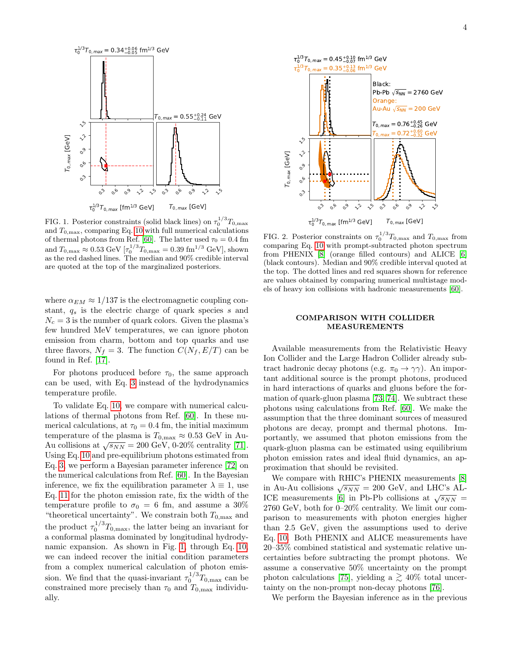

<span id="page-3-0"></span>FIG. 1. Posterior constraints (solid black lines) on  $\tau_0^{1/3}T_{0,\text{max}}$ and  $T_{0,\text{max}}$ , comparing Eq. [10](#page-2-4) with full numerical calculations of thermal photons from Ref. [\[60\]](#page-5-14). The latter used  $\tau_0 = 0.4$  fm and  $T_{0,\text{max}} \approx 0.53 \text{ GeV} [\tau_0^{1/3} T_{0,\text{max}} = 0.39 \text{ fm}^{1/3} \text{ GeV}]$ , shown as the red dashed lines. The median and 90% credible interval are quoted at the top of the marginalized posteriors.

where  $\alpha_{EM} \approx 1/137$  is the electromagnetic coupling constant,  $q_s$  is the electric charge of quark species s and  $N_c = 3$  is the number of quark colors. Given the plasma's few hundred MeV temperatures, we can ignore photon emission from charm, bottom and top quarks and use three flavors,  $N_f = 3$ . The function  $C(N_f, E/T)$  can be found in Ref. [\[17\]](#page-4-8).

For photons produced before  $\tau_0$ , the same approach can be used, with Eq. [3](#page-1-3) instead of the hydrodynamics temperature profile.

To validate Eq. [10,](#page-2-4) we compare with numerical calculations of thermal photons from Ref. [\[60\]](#page-5-14). In these numerical calculations, at  $\tau_0 = 0.4$  fm, the initial maximum temperature of the plasma is  $T_{0,\text{max}} \approx 0.53 \text{ GeV}$  in Au-Remperature of the plasma is  $T_{0,\text{max}} \approx 0.53$  GeV in Au-<br>Au collisions at  $\sqrt{s_{NN}} = 200$  GeV, 0-20% centrality [\[71\]](#page-5-24). Using Eq. [10](#page-2-4) and pre-equilibrium photons estimated from Eq. [3,](#page-1-3) we perform a Bayesian parameter inference [\[72\]](#page-5-25) on the numerical calculations from Ref. [\[60\]](#page-5-14). In the Bayesian inference, we fix the equilibration parameter  $\lambda \equiv 1$ , use Eq. [11](#page-2-5) for the photon emission rate, fix the width of the temperature profile to  $\sigma_0 = 6$  fm, and assume a 30% "theoretical uncertainty". We constrain both  $T_{0,\text{max}}$  and the product  $\tau_0^{1/3}T_{0,\text{max}}$ , the latter being an invariant for a conformal plasma dominated by longitudinal hydrodynamic expansion. As shown in Fig. [1,](#page-3-0) through Eq. [10,](#page-2-4) we can indeed recover the initial condition parameters from a complex numerical calculation of photon emission. We find that the quasi-invariant  $\tau_0^{1/3} T_{0,\text{max}}$  can be constrained more precisely than  $\tau_0$  and  $T_{0,\text{max}}$  individually.



<span id="page-3-1"></span>FIG. 2. Posterior constraints on  $\tau_0^{1/3}T_{0,\text{max}}$  and  $T_{0,\text{max}}$  from comparing Eq. [10](#page-2-4) with prompt-subtracted photon spectrum from PHENIX [\[8\]](#page-4-9) (orange filled contours) and ALICE [\[6\]](#page-4-10) (black contours). Median and 90% credible interval quoted at the top. The dotted lines and red squares shown for reference are values obtained by comparing numerical multistage models of heavy ion collisions with hadronic measurements [\[60\]](#page-5-14).

#### COMPARISON WITH COLLIDER MEASUREMENTS

Available measurements from the Relativistic Heavy Ion Collider and the Large Hadron Collider already subtract hadronic decay photons (e.g.  $\pi_0 \rightarrow \gamma \gamma$ ). An important additional source is the prompt photons, produced in hard interactions of quarks and gluons before the formation of quark-gluon plasma [\[73,](#page-5-26) [74\]](#page-5-27). We subtract these photons using calculations from Ref. [\[60\]](#page-5-14). We make the assumption that the three dominant sources of measured photons are decay, prompt and thermal photons. Importantly, we assumed that photon emissions from the quark-gluon plasma can be estimated using equilibrium photon emission rates and ideal fluid dynamics, an approximation that should be revisited.

We compare with RHIC's PHENIX measurements [\[8\]](#page-4-9) we compare with RHC s I HENIX measurements [o]<br>in Au-Au collisions  $\sqrt{s_{NN}} = 200$  GeV, and LHC's AL-ICE measurements [\[6\]](#page-4-10) in Pb-Pb collisions at  $\sqrt{s_{NN}}$  = 2760 GeV, both for 0–20% centrality. We limit our comparison to measurements with photon energies higher than 2.5 GeV, given the assumptions used to derive Eq. [10.](#page-2-4) Both PHENIX and ALICE measurements have 20–35% combined statistical and systematic relative uncertainties before subtracting the prompt photons. We assume a conservative 50% uncertainty on the prompt photon calculations [\[75\]](#page-5-28), yielding a  $\gtrsim 40\%$  total uncertainty on the non-prompt non-decay photons [\[76\]](#page-5-29).

We perform the Bayesian inference as in the previous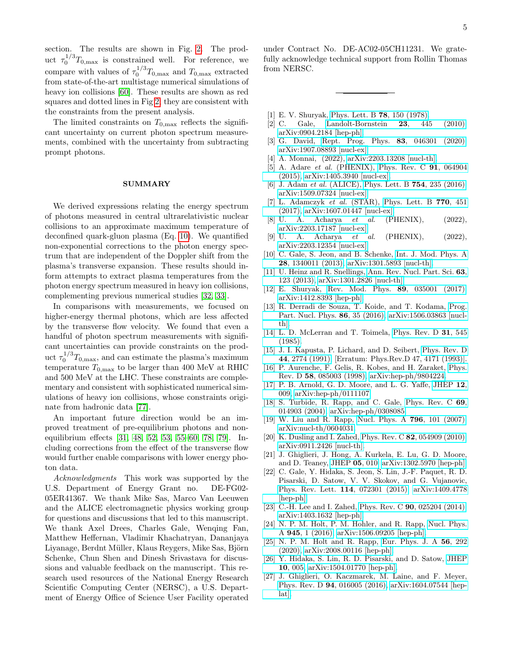section. The results are shown in Fig. [2.](#page-3-1) The product  $\tau_0^{1/3}T_{0,\text{max}}$  is constrained well. For reference, we compare with values of  $\tau_0^{1/3}T_{0,\text{max}}$  and  $T_{0,\text{max}}$  extracted from state-of-the-art multistage numerical simulations of heavy ion collisions [\[60\]](#page-5-14). These results are shown as red squares and dotted lines in Fig [2;](#page-3-1) they are consistent with the constraints from the present analysis.

The limited constraints on  $T_{0,\text{max}}$  reflects the significant uncertainty on current photon spectrum measurements, combined with the uncertainty from subtracting prompt photons.

#### SUMMARY

We derived expressions relating the energy spectrum of photons measured in central ultrarelativistic nuclear collisions to an approximate maximum temperature of deconfined quark-gluon plasma (Eq. [10\)](#page-2-4). We quantified non-exponential corrections to the photon energy spectrum that are independent of the Doppler shift from the plasma's transverse expansion. These results should inform attempts to extract plasma temperatures from the photon energy spectrum measured in heavy ion collisions, complementing previous numerical studies [\[32,](#page-5-5) [33\]](#page-5-6).

In comparisons with measurements, we focused on higher-energy thermal photons, which are less affected by the transverse flow velocity. We found that even a handful of photon spectrum measurements with significant uncertainties can provide constraints on the product  $\tau_0^{1/3}T_{0,\text{max}}$ , and can estimate the plasma's maximum temperature  $T_{0,\text{max}}$  to be larger than 400 MeV at RHIC and 500 MeV at the LHC. These constraints are complementary and consistent with sophisticated numerical simulations of heavy ion collisions, whose constraints originate from hadronic data [\[77\]](#page-5-30).

An important future direction would be an improved treatment of pre-equilibrium photons and nonequilibrium effects [\[31,](#page-5-3) [48,](#page-5-31) [52,](#page-5-32) [53,](#page-5-33) [55–](#page-5-34)[60,](#page-5-14) [78,](#page-5-35) [79\]](#page-5-36). Including corrections from the effect of the transverse flow would further enable comparisons with lower energy photon data.

Acknowledgments This work was supported by the U.S. Department of Energy Grant no. DE-FG02- 05ER41367. We thank Mike Sas, Marco Van Leeuwen and the ALICE electromagnetic physics working group for questions and discussions that led to this manuscript. We thank Axel Drees, Charles Gale, Wenqing Fan, Matthew Heffernan, Vladimir Khachatryan, Dananjaya Liyanage, Berdnt Müller, Klaus Reygers, Mike Sas, Björn Schenke, Chun Shen and Dinesh Srivastava for discussions and valuable feedback on the manuscript. This research used resources of the National Energy Research Scientific Computing Center (NERSC), a U.S. Department of Energy Office of Science User Facility operated under Contract No. DE-AC02-05CH11231. We gratefully acknowledge technical support from Rollin Thomas from NERSC.

- <span id="page-4-0"></span>[1] E. V. Shuryak, [Phys. Lett. B](https://doi.org/10.1016/0370-2693(78)90370-2) **78**, 150 (1978).
- [2] C. Gale, [Landolt-Bornstein](https://doi.org/10.1007/978-3-642-01539-7_15) 23, 445 (2010), [arXiv:0904.2184 \[hep-ph\].](https://arxiv.org/abs/0904.2184)
- [3] G. David, [Rept. Prog. Phys.](https://doi.org/10.1088/1361-6633/ab6f57) 83, 046301 (2020), [arXiv:1907.08893 \[nucl-ex\].](https://arxiv.org/abs/1907.08893)
- <span id="page-4-1"></span>[4] A. Monnai, (2022), [arXiv:2203.13208 \[nucl-th\].](https://arxiv.org/abs/2203.13208)
- <span id="page-4-2"></span>[5] A. Adare *et al.* (PHENIX), [Phys. Rev. C](https://doi.org/10.1103/PhysRevC.91.064904) **91**, 064904 [\(2015\),](https://doi.org/10.1103/PhysRevC.91.064904) [arXiv:1405.3940 \[nucl-ex\].](https://arxiv.org/abs/1405.3940)
- <span id="page-4-10"></span>[6] J. Adam *et al.* (ALICE), [Phys. Lett. B](https://doi.org/10.1016/j.physletb.2016.01.020) **754**, 235 (2016), [arXiv:1509.07324 \[nucl-ex\].](https://arxiv.org/abs/1509.07324)
- [7] L. Adamczyk et al. (STAR), [Phys. Lett. B](https://doi.org/10.1016/j.physletb.2017.04.050) 770, 451 [\(2017\),](https://doi.org/10.1016/j.physletb.2017.04.050) [arXiv:1607.01447 \[nucl-ex\].](https://arxiv.org/abs/1607.01447)
- <span id="page-4-9"></span>[8] U. A. Acharya et al. (PHENIX), (2022), [arXiv:2203.17187 \[nucl-ex\].](https://arxiv.org/abs/2203.17187)
- <span id="page-4-3"></span>[9] U. A. Acharya et al. (PHENIX), (2022), [arXiv:2203.12354 \[nucl-ex\].](https://arxiv.org/abs/2203.12354)
- <span id="page-4-4"></span>[10] C. Gale, S. Jeon, and B. Schenke, [Int. J. Mod. Phys. A](https://doi.org/10.1142/S0217751X13400113) 28[, 1340011 \(2013\),](https://doi.org/10.1142/S0217751X13400113) [arXiv:1301.5893 \[nucl-th\].](https://arxiv.org/abs/1301.5893)
- [11] U. Heinz and R. Snellings, [Ann. Rev. Nucl. Part. Sci.](https://doi.org/10.1146/annurev-nucl-102212-170540) 63, [123 \(2013\),](https://doi.org/10.1146/annurev-nucl-102212-170540) [arXiv:1301.2826 \[nucl-th\].](https://arxiv.org/abs/1301.2826)
- [12] E. Shuryak, [Rev. Mod. Phys.](https://doi.org/10.1103/RevModPhys.89.035001) 89, 035001 (2017), [arXiv:1412.8393 \[hep-ph\].](https://arxiv.org/abs/1412.8393)
- <span id="page-4-5"></span>[13] R. Derradi de Souza, T. Koide, and T. Kodama, [Prog.](https://doi.org/10.1016/j.ppnp.2015.09.002) [Part. Nucl. Phys.](https://doi.org/10.1016/j.ppnp.2015.09.002) 86, 35 (2016), [arXiv:1506.03863 \[nucl](https://arxiv.org/abs/1506.03863)[th\].](https://arxiv.org/abs/1506.03863)
- <span id="page-4-6"></span>[14] L. D. McLerran and T. Toimela, [Phys. Rev. D](https://doi.org/10.1103/PhysRevD.31.545) 31, 545 [\(1985\).](https://doi.org/10.1103/PhysRevD.31.545)
- <span id="page-4-7"></span>[15] J. I. Kapusta, P. Lichard, and D. Seibert, [Phys. Rev. D](https://doi.org/10.1103/PhysRevD.47.4171) 44[, 2774 \(1991\),](https://doi.org/10.1103/PhysRevD.47.4171) [Erratum: Phys.Rev.D 47, 4171 (1993)].
- [16] P. Aurenche, F. Gelis, R. Kobes, and H. Zaraket, [Phys.](https://doi.org/10.1103/PhysRevD.58.085003) Rev. D 58[, 085003 \(1998\),](https://doi.org/10.1103/PhysRevD.58.085003) [arXiv:hep-ph/9804224.](https://arxiv.org/abs/hep-ph/9804224)
- <span id="page-4-8"></span>[17] P. B. Arnold, G. D. Moore, and L. G. Yaffe, [JHEP](https://doi.org/10.1088/1126-6708/2001/12/009) 12, [009,](https://doi.org/10.1088/1126-6708/2001/12/009) [arXiv:hep-ph/0111107.](https://arxiv.org/abs/hep-ph/0111107)
- [18] S. Turbide, R. Rapp, and C. Gale, [Phys. Rev. C](https://doi.org/10.1103/PhysRevC.69.014903) 69, [014903 \(2004\),](https://doi.org/10.1103/PhysRevC.69.014903) [arXiv:hep-ph/0308085.](https://arxiv.org/abs/hep-ph/0308085)
- [19] W. Liu and R. Rapp, [Nucl. Phys. A](https://doi.org/10.1016/j.nuclphysa.2007.08.014) 796, 101 (2007), [arXiv:nucl-th/0604031.](https://arxiv.org/abs/nucl-th/0604031)
- [20] K. Dusling and I. Zahed, Phys. Rev. C **82**[, 054909 \(2010\),](https://doi.org/10.1103/PhysRevC.82.054909) [arXiv:0911.2426 \[nucl-th\].](https://arxiv.org/abs/0911.2426)
- [21] J. Ghiglieri, J. Hong, A. Kurkela, E. Lu, G. D. Moore, and D. Teaney, [JHEP](https://doi.org/10.1007/JHEP05(2013)010) 05, 010, [arXiv:1302.5970 \[hep-ph\].](https://arxiv.org/abs/1302.5970)
- [22] C. Gale, Y. Hidaka, S. Jeon, S. Lin, J.-F. Paquet, R. D. Pisarski, D. Satow, V. V. Skokov, and G. Vujanovic, [Phys. Rev. Lett.](https://doi.org/10.1103/PhysRevLett.114.072301) 114, 072301 (2015), [arXiv:1409.4778](https://arxiv.org/abs/1409.4778) [\[hep-ph\].](https://arxiv.org/abs/1409.4778)
- [23] C.-H. Lee and I. Zahed, Phys. Rev. C **90**[, 025204 \(2014\),](https://doi.org/10.1103/PhysRevC.90.025204) [arXiv:1403.1632 \[hep-ph\].](https://arxiv.org/abs/1403.1632)
- [24] N. P. M. Holt, P. M. Hohler, and R. Rapp, [Nucl. Phys.](https://doi.org/10.1016/j.nuclphysa.2015.09.008) A 945[, 1 \(2016\),](https://doi.org/10.1016/j.nuclphysa.2015.09.008) [arXiv:1506.09205 \[hep-ph\].](https://arxiv.org/abs/1506.09205)
- [25] N. P. M. Holt and R. Rapp, [Eur. Phys. J. A](https://doi.org/10.1140/epja/s10050-020-00301-x) 56, 292 [\(2020\),](https://doi.org/10.1140/epja/s10050-020-00301-x) [arXiv:2008.00116 \[hep-ph\].](https://arxiv.org/abs/2008.00116)
- [26] Y. Hidaka, S. Lin, R. D. Pisarski, and D. Satow, [JHEP](https://doi.org/10.1007/JHEP10(2015)005) 10[, 005,](https://doi.org/10.1007/JHEP10(2015)005) [arXiv:1504.01770 \[hep-ph\].](https://arxiv.org/abs/1504.01770)
- [27] J. Ghiglieri, O. Kaczmarek, M. Laine, and F. Meyer, Phys. Rev. D 94[, 016005 \(2016\),](https://doi.org/10.1103/PhysRevD.94.016005) [arXiv:1604.07544 \[hep](https://arxiv.org/abs/1604.07544)[lat\].](https://arxiv.org/abs/1604.07544)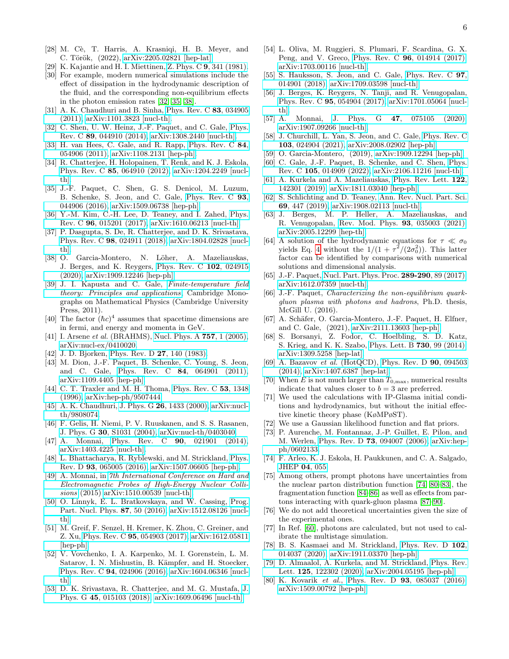- <span id="page-5-0"></span>[28] M. Cè, T. Harris, A. Krasniqi, H. B. Meyer, and C. Török, (2022), [arXiv:2205.02821 \[hep-lat\].](https://arxiv.org/abs/2205.02821)
- <span id="page-5-1"></span>[29] K. Kajantie and H. I. Miettinen, Z. Phys. C 9[, 341 \(1981\).](https://doi.org/10.1007/BF01548770)
- <span id="page-5-2"></span>[30] For example, modern numerical simulations include the effect of dissipation in the hydrodynamic description of the fluid, and the corresponding non-equilibrium effects in the photon emission rates [\[32,](#page-5-5) [35,](#page-5-37) [38\]](#page-5-4).
- <span id="page-5-3"></span>[31] A. K. Chaudhuri and B. Sinha, [Phys. Rev. C](https://doi.org/10.1103/PhysRevC.83.034905) 83, 034905 [\(2011\),](https://doi.org/10.1103/PhysRevC.83.034905) [arXiv:1101.3823 \[nucl-th\].](https://arxiv.org/abs/1101.3823)
- <span id="page-5-5"></span>[32] C. Shen, U. W. Heinz, J.-F. Paquet, and C. Gale, [Phys.](https://doi.org/10.1103/PhysRevC.89.044910) Rev. C 89[, 044910 \(2014\),](https://doi.org/10.1103/PhysRevC.89.044910) [arXiv:1308.2440 \[nucl-th\].](https://arxiv.org/abs/1308.2440)
- <span id="page-5-6"></span>[33] H. van Hees, C. Gale, and R. Rapp, [Phys. Rev. C](https://doi.org/10.1103/PhysRevC.84.054906) 84, [054906 \(2011\),](https://doi.org/10.1103/PhysRevC.84.054906) [arXiv:1108.2131 \[hep-ph\].](https://arxiv.org/abs/1108.2131)
- <span id="page-5-11"></span>[34] R. Chatterjee, H. Holopainen, T. Renk, and K. J. Eskola, Phys. Rev. C 85[, 064910 \(2012\),](https://doi.org/10.1103/PhysRevC.85.064910) [arXiv:1204.2249 \[nucl](https://arxiv.org/abs/1204.2249)[th\].](https://arxiv.org/abs/1204.2249)
- <span id="page-5-37"></span>[35] J.-F. Paquet, C. Shen, G. S. Denicol, M. Luzum, B. Schenke, S. Jeon, and C. Gale, [Phys. Rev. C](https://doi.org/10.1103/PhysRevC.93.044906) 93, [044906 \(2016\),](https://doi.org/10.1103/PhysRevC.93.044906) [arXiv:1509.06738 \[hep-ph\].](https://arxiv.org/abs/1509.06738)
- [36] Y.-M. Kim, C.-H. Lee, D. Teaney, and I. Zahed, [Phys.](https://doi.org/10.1103/PhysRevC.96.015201) Rev. C 96[, 015201 \(2017\),](https://doi.org/10.1103/PhysRevC.96.015201) [arXiv:1610.06213 \[nucl-th\].](https://arxiv.org/abs/1610.06213)
- [37] P. Dasgupta, S. De, R. Chatterjee, and D. K. Srivastava, Phys. Rev. C 98[, 024911 \(2018\),](https://doi.org/10.1103/PhysRevC.98.024911) [arXiv:1804.02828 \[nucl](https://arxiv.org/abs/1804.02828)[th\].](https://arxiv.org/abs/1804.02828)
- <span id="page-5-4"></span>[38] O. Garcia-Montero, N. Löher, A. Mazeliauskas, J. Berges, and K. Reygers, [Phys. Rev. C](https://doi.org/10.1103/PhysRevC.102.024915) 102, 024915 [\(2020\),](https://doi.org/10.1103/PhysRevC.102.024915) [arXiv:1909.12246 \[hep-ph\].](https://arxiv.org/abs/1909.12246)
- <span id="page-5-7"></span>[39] J. I. Kapusta and C. Gale, [Finite-temperature field](https://doi.org/10.1017/CBO9780511535130) [theory: Principles and applications](https://doi.org/10.1017/CBO9780511535130), Cambridge Monographs on Mathematical Physics (Cambridge University Press, 2011).
- <span id="page-5-8"></span>[40] The factor  $(\hbar c)^4$  assumes that spacetime dimensions are in fermi, and energy and momenta in GeV.
- <span id="page-5-9"></span>[41] I. Arsene *et al.* (BRAHMS), [Nucl. Phys. A](https://doi.org/10.1016/j.nuclphysa.2005.02.130) **757**, 1 (2005), [arXiv:nucl-ex/0410020.](https://arxiv.org/abs/nucl-ex/0410020)
- <span id="page-5-10"></span>[42] J. D. Bjorken, [Phys. Rev. D](https://doi.org/10.1103/PhysRevD.27.140) **27**, 140 (1983).
- <span id="page-5-12"></span>[43] M. Dion, J.-F. Paquet, B. Schenke, C. Young, S. Jeon, and C. Gale, Phys. Rev. C 84[, 064901 \(2011\),](https://doi.org/10.1103/PhysRevC.84.064901) [arXiv:1109.4405 \[hep-ph\].](https://arxiv.org/abs/1109.4405)
- <span id="page-5-13"></span>[44] C. T. Traxler and M. H. Thoma, [Phys. Rev. C](https://doi.org/10.1103/PhysRevC.53.1348) 53, 1348 [\(1996\),](https://doi.org/10.1103/PhysRevC.53.1348) [arXiv:hep-ph/9507444.](https://arxiv.org/abs/hep-ph/9507444)
- [45] A. K. Chaudhuri, J. Phys. G **26**[, 1433 \(2000\),](https://doi.org/10.1088/0954-3899/26/9/312) [arXiv:nucl](https://arxiv.org/abs/nucl-th/9808074)[th/9808074.](https://arxiv.org/abs/nucl-th/9808074)
- [46] F. Gelis, H. Niemi, P. V. Ruuskanen, and S. S. Rasanen, J. Phys. G 30[, S1031 \(2004\),](https://doi.org/10.1088/0954-3899/30/8/053) [arXiv:nucl-th/0403040.](https://arxiv.org/abs/nucl-th/0403040)
- [47] A. Monnai, Phys. Rev. C **90**[, 021901 \(2014\),](https://doi.org/10.1103/PhysRevC.90.021901) [arXiv:1403.4225 \[nucl-th\].](https://arxiv.org/abs/1403.4225)
- <span id="page-5-31"></span>[48] L. Bhattacharya, R. Ryblewski, and M. Strickland, [Phys.](https://doi.org/10.1103/PhysRevD.93.065005) Rev. D 93[, 065005 \(2016\),](https://doi.org/10.1103/PhysRevD.93.065005) [arXiv:1507.06605 \[hep-ph\].](https://arxiv.org/abs/1507.06605)
- [49] A. Monnai, in [7th International Conference on Hard and](https://doi.org/10.1016/j.nuclphysbps.2016.05.052) [Electromagnetic Probes of High-Energy Nuclear Colli](https://doi.org/10.1016/j.nuclphysbps.2016.05.052)[sions](https://doi.org/10.1016/j.nuclphysbps.2016.05.052) (2015) [arXiv:1510.00539 \[nucl-th\].](https://arxiv.org/abs/1510.00539)
- [50] O. Linnyk, E. L. Bratkovskaya, and W. Cassing, [Prog.](https://doi.org/10.1016/j.ppnp.2015.12.003) [Part. Nucl. Phys.](https://doi.org/10.1016/j.ppnp.2015.12.003) 87, 50 (2016), [arXiv:1512.08126 \[nucl](https://arxiv.org/abs/1512.08126)[th\].](https://arxiv.org/abs/1512.08126)
- [51] M. Greif, F. Senzel, H. Kremer, K. Zhou, C. Greiner, and Z. Xu, Phys. Rev. C 95[, 054903 \(2017\),](https://doi.org/10.1103/PhysRevC.95.054903) [arXiv:1612.05811](https://arxiv.org/abs/1612.05811) [\[hep-ph\].](https://arxiv.org/abs/1612.05811)
- <span id="page-5-32"></span>[52] V. Vovchenko, I. A. Karpenko, M. I. Gorenstein, L. M. Satarov, I. N. Mishustin, B. Kämpfer, and H. Stoecker, Phys. Rev. C 94[, 024906 \(2016\),](https://doi.org/10.1103/PhysRevC.94.024906) [arXiv:1604.06346 \[nucl](https://arxiv.org/abs/1604.06346)[th\].](https://arxiv.org/abs/1604.06346)
- <span id="page-5-33"></span>[53] D. K. Srivastava, R. Chatterjee, and M. G. Mustafa, [J.](https://doi.org/10.1088/1361-6471/aa9421) Phys. G 45[, 015103 \(2018\),](https://doi.org/10.1088/1361-6471/aa9421) [arXiv:1609.06496 \[nucl-th\].](https://arxiv.org/abs/1609.06496)
- [54] L. Oliva, M. Ruggieri, S. Plumari, F. Scardina, G. X. Peng, and V. Greco, Phys. Rev. C 96[, 014914 \(2017\),](https://doi.org/10.1103/PhysRevC.96.014914) [arXiv:1703.00116 \[nucl-th\].](https://arxiv.org/abs/1703.00116)
- <span id="page-5-34"></span>[55] S. Hauksson, S. Jeon, and C. Gale, [Phys. Rev. C](https://doi.org/10.1103/PhysRevC.97.014901) **97**, [014901 \(2018\),](https://doi.org/10.1103/PhysRevC.97.014901) [arXiv:1709.03598 \[nucl-th\].](https://arxiv.org/abs/1709.03598)
- [56] J. Berges, K. Reygers, N. Tanji, and R. Venugopalan, Phys. Rev. C 95[, 054904 \(2017\),](https://doi.org/10.1103/PhysRevC.95.054904) [arXiv:1701.05064 \[nucl](https://arxiv.org/abs/1701.05064)[th\].](https://arxiv.org/abs/1701.05064)
- [57] A. Monnai, J. Phys. G **47**[, 075105 \(2020\),](https://doi.org/10.1088/1361-6471/ab8d8c) [arXiv:1907.09266 \[nucl-th\].](https://arxiv.org/abs/1907.09266)
- [58] J. Churchill, L. Yan, S. Jeon, and C. Gale, [Phys. Rev. C](https://doi.org/10.1103/PhysRevC.103.024904) 103[, 024904 \(2021\),](https://doi.org/10.1103/PhysRevC.103.024904) [arXiv:2008.02902 \[hep-ph\].](https://arxiv.org/abs/2008.02902)
- [59] O. Garcia-Montero, (2019), [arXiv:1909.12294 \[hep-ph\].](https://arxiv.org/abs/1909.12294)
- <span id="page-5-14"></span>[60] C. Gale, J.-F. Paquet, B. Schenke, and C. Shen, [Phys.](https://doi.org/10.1103/PhysRevC.105.014909) Rev. C 105[, 014909 \(2022\),](https://doi.org/10.1103/PhysRevC.105.014909) [arXiv:2106.11216 \[nucl-th\].](https://arxiv.org/abs/2106.11216)
- <span id="page-5-15"></span>[61] A. Kurkela and A. Mazeliauskas, [Phys. Rev. Lett.](https://doi.org/10.1103/PhysRevLett.122.142301) 122, [142301 \(2019\),](https://doi.org/10.1103/PhysRevLett.122.142301) [arXiv:1811.03040 \[hep-ph\].](https://arxiv.org/abs/1811.03040)
- [62] S. Schlichting and D. Teaney, [Ann. Rev. Nucl. Part. Sci.](https://doi.org/10.1146/annurev-nucl-101918-023825) 69[, 447 \(2019\),](https://doi.org/10.1146/annurev-nucl-101918-023825) [arXiv:1908.02113 \[nucl-th\].](https://arxiv.org/abs/1908.02113)
- <span id="page-5-16"></span>[63] J. Berges, M. P. Heller, A. Mazeliauskas, and R. Venugopalan, [Rev. Mod. Phys.](https://doi.org/10.1103/RevModPhys.93.035003) 93, 035003 (2021), [arXiv:2005.12299 \[hep-th\].](https://arxiv.org/abs/2005.12299)
- <span id="page-5-17"></span>[64] A solution of the hydrodynamic equations for  $\tau \ll \sigma_0$ yields Eq. [4](#page-1-1) without the  $1/(1 + \tau^2/(2\sigma_0^2))$ . This latter factor can be identified by comparisons with numerical solutions and dimensional analysis.
- <span id="page-5-18"></span>[65] J.-F. Paquet, [Nucl. Part. Phys. Proc.](https://doi.org/10.1016/j.nuclphysbps.2017.05.017) **289-290**, 89 (2017), [arXiv:1612.07359 \[nucl-th\].](https://arxiv.org/abs/1612.07359)
- <span id="page-5-19"></span>[66] J.-F. Paquet, *Characterizing the non-equilibrium quark*gluon plasma with photons and hadrons, Ph.D. thesis, McGill U. (2016).
- <span id="page-5-20"></span>[67] A. Schäfer, O. Garcia-Montero, J.-F. Paquet, H. Elfner, and C. Gale, (2021), [arXiv:2111.13603 \[hep-ph\].](https://arxiv.org/abs/2111.13603)
- <span id="page-5-21"></span>[68] S. Borsanyi, Z. Fodor, C. Hoelbling, S. D. Katz, S. Krieg, and K. K. Szabo, [Phys. Lett. B](https://doi.org/10.1016/j.physletb.2014.01.007) 730, 99 (2014), [arXiv:1309.5258 \[hep-lat\].](https://arxiv.org/abs/1309.5258)
- <span id="page-5-22"></span>[69] A. Bazavov et al. (HotQCD), [Phys. Rev. D](https://doi.org/10.1103/PhysRevD.90.094503) **90**, 094503 [\(2014\),](https://doi.org/10.1103/PhysRevD.90.094503) [arXiv:1407.6387 \[hep-lat\].](https://arxiv.org/abs/1407.6387)
- <span id="page-5-23"></span>[70] When E is not much larger than  $T_{0,\text{max}}$ , numerical results indicate that values closer to  $b = 3$  are preferred.
- <span id="page-5-24"></span>[71] We used the calculations with IP-Glasma initial conditions and hydrodynamics, but without the initial effective kinetic theory phase (KøMPøST).
- <span id="page-5-25"></span>[72] We use a Gaussian likelihood function and flat priors.
- <span id="page-5-26"></span>[73] P. Aurenche, M. Fontannaz, J.-P. Guillet, E. Pilon, and M. Werlen, Phys. Rev. D 73[, 094007 \(2006\),](https://doi.org/10.1103/PhysRevD.73.094007) [arXiv:hep](https://arxiv.org/abs/hep-ph/0602133)[ph/0602133.](https://arxiv.org/abs/hep-ph/0602133)
- <span id="page-5-27"></span>[74] F. Arleo, K. J. Eskola, H. Paukkunen, and C. A. Salgado, [JHEP](https://doi.org/10.1007/JHEP04(2011)055) 04, 055.
- <span id="page-5-28"></span>[75] Among others, prompt photons have uncertainties from the nuclear parton distribution function [\[74,](#page-5-27) [80–](#page-5-38)[83\]](#page-6-0), the fragmentation function [\[84–](#page-6-1)[86\]](#page-6-2) as well as effects from partons interacting with quark-gluon plasma [\[87–](#page-6-3)[90\]](#page-6-4).
- <span id="page-5-29"></span>[76] We do not add theoretical uncertainties given the size of the experimental ones.
- <span id="page-5-30"></span>[77] In Ref. [\[60\]](#page-5-14), photons are calculated, but not used to calibrate the multistage simulation.
- <span id="page-5-35"></span>[78] B. S. Kasmaei and M. Strickland, [Phys. Rev. D](https://doi.org/10.1103/PhysRevD.102.014037) 102, [014037 \(2020\),](https://doi.org/10.1103/PhysRevD.102.014037) [arXiv:1911.03370 \[hep-ph\].](https://arxiv.org/abs/1911.03370)
- <span id="page-5-36"></span>[79] D. Almaalol, A. Kurkela, and M. Strickland, [Phys. Rev.](https://doi.org/10.1103/PhysRevLett.125.122302) Lett. 125[, 122302 \(2020\),](https://doi.org/10.1103/PhysRevLett.125.122302) [arXiv:2004.05195 \[hep-ph\].](https://arxiv.org/abs/2004.05195)
- <span id="page-5-38"></span>[80] K. Kovarik et al., Phys. Rev. D 93[, 085037 \(2016\),](https://doi.org/10.1103/PhysRevD.93.085037) [arXiv:1509.00792 \[hep-ph\].](https://arxiv.org/abs/1509.00792)